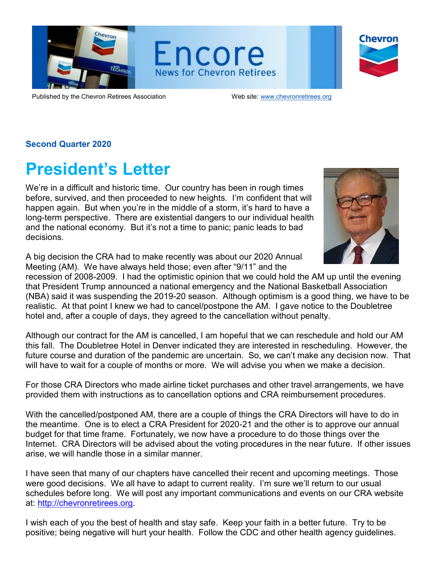





Published by the Chevron Retirees Association Web site: [www.chevronretirees.org](http://www.chevronretirees.org/)

### **Second Quarter 2020**

## **President's Letter**

We're in a difficult and historic time. Our country has been in rough times before, survived, and then proceeded to new heights. I'm confident that will happen again. But when you're in the middle of a storm, it's hard to have a long-term perspective. There are existential dangers to our individual health and the national economy. But it's not a time to panic; panic leads to bad decisions.

A big decision the CRA had to make recently was about our 2020 Annual Meeting (AM). We have always held those; even after "9/11" and the



recession of 2008-2009. I had the optimistic opinion that we could hold the AM up until the evening that President Trump announced a national emergency and the National Basketball Association (NBA) said it was suspending the 2019-20 season. Although optimism is a good thing, we have to be realistic. At that point I knew we had to cancel/postpone the AM. I gave notice to the Doubletree hotel and, after a couple of days, they agreed to the cancellation without penalty.

Although our contract for the AM is cancelled, I am hopeful that we can reschedule and hold our AM this fall. The Doubletree Hotel in Denver indicated they are interested in rescheduling. However, the future course and duration of the pandemic are uncertain. So, we can't make any decision now. That will have to wait for a couple of months or more. We will advise you when we make a decision.

For those CRA Directors who made airline ticket purchases and other travel arrangements, we have provided them with instructions as to cancellation options and CRA reimbursement procedures.

With the cancelled/postponed AM, there are a couple of things the CRA Directors will have to do in the meantime. One is to elect a CRA President for 2020-21 and the other is to approve our annual budget for that time frame. Fortunately, we now have a procedure to do those things over the Internet. CRA Directors will be advised about the voting procedures in the near future. If other issues arise, we will handle those in a similar manner.

I have seen that many of our chapters have cancelled their recent and upcoming meetings. Those were good decisions. We all have to adapt to current reality. I'm sure we'll return to our usual schedules before long. We will post any important communications and events on our CRA website at: [http://chevronretirees.org.](http://chevronretirees.org/)

I wish each of you the best of health and stay safe. Keep your faith in a better future. Try to be positive; being negative will hurt your health. Follow the CDC and other health agency guidelines.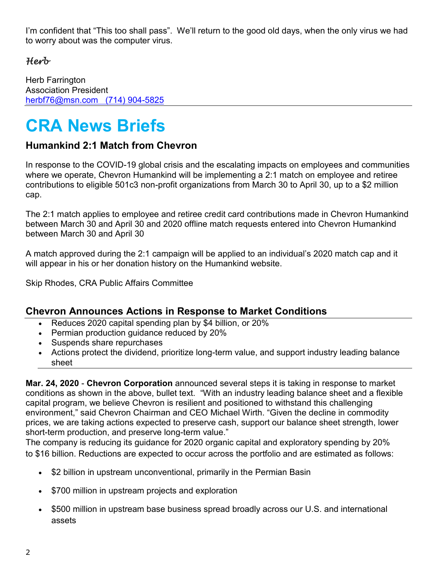I'm confident that "This too shall pass". We'll return to the good old days, when the only virus we had to worry about was the computer virus.

## *Herb*

Herb Farrington Association President [herbf76@msn.com](mailto:herbf76@msn.com) (714) 904-5825

# **CRA News Briefs**

## **Humankind 2:1 Match from Chevron**

In response to the COVID-19 global crisis and the escalating impacts on employees and communities where we operate, Chevron Humankind will be implementing a 2:1 match on employee and retiree contributions to eligible 501c3 non-profit organizations from March 30 to April 30, up to a \$2 million cap.

The 2:1 match applies to employee and retiree credit card contributions made in Chevron Humankind between March 30 and April 30 and 2020 offline match requests entered into Chevron Humankind between March 30 and April 30

A match approved during the 2:1 campaign will be applied to an individual's 2020 match cap and it will appear in his or her donation history on the Humankind website.

Skip Rhodes, CRA Public Affairs Committee

## **Chevron Announces Actions in Response to Market Conditions**

- Reduces 2020 capital spending plan by \$4 billion, or 20%
- Permian production guidance reduced by 20%
- Suspends share repurchases
- Actions protect the dividend, prioritize long-term value, and support industry leading balance sheet

**Mar. 24, 2020** - **Chevron Corporation** announced several steps it is taking in response to market conditions as shown in the above, bullet text. "With an industry leading balance sheet and a flexible capital program, we believe Chevron is resilient and positioned to withstand this challenging environment," said Chevron Chairman and CEO Michael Wirth. "Given the decline in commodity prices, we are taking actions expected to preserve cash, support our balance sheet strength, lower short-term production, and preserve long-term value."

The company is reducing its guidance for 2020 organic capital and exploratory spending by 20% to \$16 billion. Reductions are expected to occur across the portfolio and are estimated as follows:

- \$2 billion in upstream unconventional, primarily in the Permian Basin
- \$700 million in upstream projects and exploration
- \$500 million in upstream base business spread broadly across our U.S. and international assets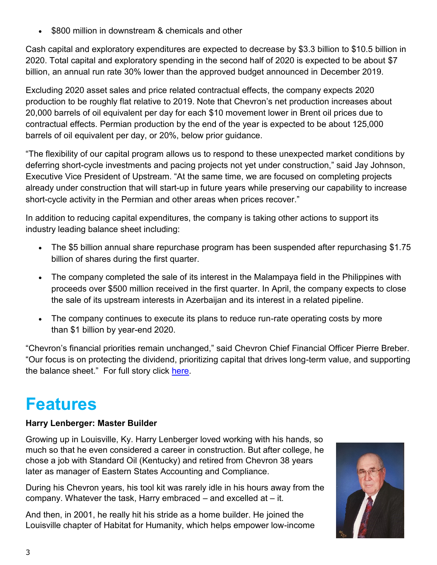\$800 million in downstream & chemicals and other

Cash capital and exploratory expenditures are expected to decrease by \$3.3 billion to \$10.5 billion in 2020. Total capital and exploratory spending in the second half of 2020 is expected to be about \$7 billion, an annual run rate 30% lower than the approved budget announced in December 2019.

Excluding 2020 asset sales and price related contractual effects, the company expects 2020 production to be roughly flat relative to 2019. Note that Chevron's net production increases about 20,000 barrels of oil equivalent per day for each \$10 movement lower in Brent oil prices due to contractual effects. Permian production by the end of the year is expected to be about 125,000 barrels of oil equivalent per day, or 20%, below prior guidance.

"The flexibility of our capital program allows us to respond to these unexpected market conditions by deferring short-cycle investments and pacing projects not yet under construction," said Jay Johnson, Executive Vice President of Upstream. "At the same time, we are focused on completing projects already under construction that will start-up in future years while preserving our capability to increase short-cycle activity in the Permian and other areas when prices recover."

In addition to reducing capital expenditures, the company is taking other actions to support its industry leading balance sheet including:

- The \$5 billion annual share repurchase program has been suspended after repurchasing \$1.75 billion of shares during the first quarter.
- The company completed the sale of its interest in the Malampaya field in the Philippines with proceeds over \$500 million received in the first quarter. In April, the company expects to close the sale of its upstream interests in Azerbaijan and its interest in a related pipeline.
- The company continues to execute its plans to reduce run-rate operating costs by more than \$1 billion by year-end 2020.

"Chevron's financial priorities remain unchanged," said Chevron Chief Financial Officer Pierre Breber. "Our focus is on protecting the dividend, prioritizing capital that drives long-term value, and supporting the balance sheet." For full story click [here.](https://chevroncorp.gcs-web.com/news-releases/news-release-details/chevron-announces-actions-response-market-conditions)

## **Features**

## **Harry Lenberger: Master Builder**

Growing up in Louisville, Ky. Harry Lenberger loved working with his hands, so much so that he even considered a career in construction. But after college, he chose a job with Standard Oil (Kentucky) and retired from Chevron 38 years later as manager of Eastern States Accounting and Compliance.

During his Chevron years, his tool kit was rarely idle in his hours away from the company. Whatever the task, Harry embraced – and excelled at – it.

And then, in 2001, he really hit his stride as a home builder. He joined the Louisville chapter of Habitat for Humanity, which helps empower low-income

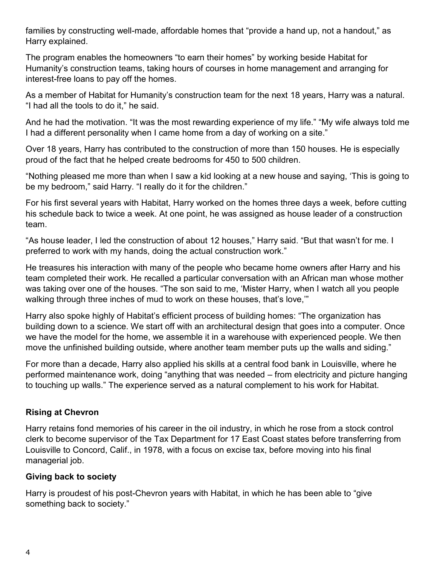families by constructing well-made, affordable homes that "provide a hand up, not a handout," as Harry explained.

The program enables the homeowners "to earn their homes" by working beside Habitat for Humanity's construction teams, taking hours of courses in home management and arranging for interest-free loans to pay off the homes.

As a member of Habitat for Humanity's construction team for the next 18 years, Harry was a natural. "I had all the tools to do it," he said.

And he had the motivation. "It was the most rewarding experience of my life." "My wife always told me I had a different personality when I came home from a day of working on a site."

Over 18 years, Harry has contributed to the construction of more than 150 houses. He is especially proud of the fact that he helped create bedrooms for 450 to 500 children.

"Nothing pleased me more than when I saw a kid looking at a new house and saying, 'This is going to be my bedroom," said Harry. "I really do it for the children."

For his first several years with Habitat, Harry worked on the homes three days a week, before cutting his schedule back to twice a week. At one point, he was assigned as house leader of a construction team.

"As house leader, I led the construction of about 12 houses," Harry said. "But that wasn't for me. I preferred to work with my hands, doing the actual construction work."

He treasures his interaction with many of the people who became home owners after Harry and his team completed their work. He recalled a particular conversation with an African man whose mother was taking over one of the houses. "The son said to me, 'Mister Harry, when I watch all you people walking through three inches of mud to work on these houses, that's love,"

Harry also spoke highly of Habitat's efficient process of building homes: "The organization has building down to a science. We start off with an architectural design that goes into a computer. Once we have the model for the home, we assemble it in a warehouse with experienced people. We then move the unfinished building outside, where another team member puts up the walls and siding."

For more than a decade, Harry also applied his skills at a central food bank in Louisville, where he performed maintenance work, doing "anything that was needed – from electricity and picture hanging to touching up walls." The experience served as a natural complement to his work for Habitat.

## **Rising at Chevron**

Harry retains fond memories of his career in the oil industry, in which he rose from a stock control clerk to become supervisor of the Tax Department for 17 East Coast states before transferring from Louisville to Concord, Calif., in 1978, with a focus on excise tax, before moving into his final managerial job.

## **Giving back to society**

Harry is proudest of his post-Chevron years with Habitat, in which he has been able to "give something back to society."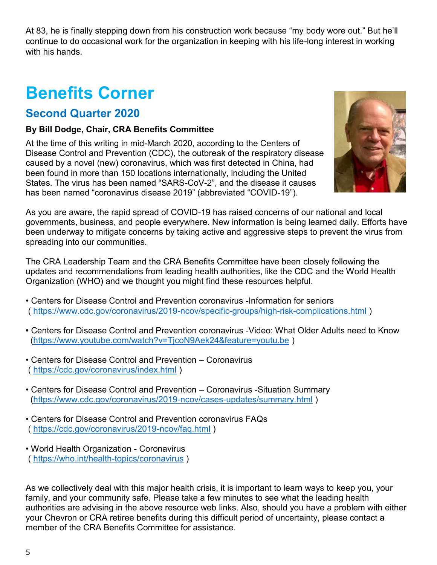At 83, he is finally stepping down from his construction work because "my body wore out." But he'll continue to do occasional work for the organization in keeping with his life-long interest in working with his hands.

# **Benefits Corner**

## **Second Quarter 2020**

### **By Bill Dodge, Chair, CRA Benefits Committee**

At the time of this writing in mid-March 2020, according to the Centers of Disease Control and Prevention (CDC), the outbreak of the respiratory disease caused by a novel (new) coronavirus, which was first detected in China, had been found in more than 150 locations internationally, including the United States. The virus has been named "SARS-CoV-2", and the disease it causes has been named "coronavirus disease 2019" (abbreviated "COVID-19").



As you are aware, the rapid spread of COVID-19 has raised concerns of our national and local governments, business, and people everywhere. New information is being learned daily. Efforts have been underway to mitigate concerns by taking active and aggressive steps to prevent the virus from spreading into our communities.

The CRA Leadership Team and the CRA Benefits Committee have been closely following the updates and recommendations from leading health authorities, like the CDC and the World Health Organization (WHO) and we thought you might find these resources helpful.

- Centers for Disease Control and Prevention coronavirus -Information for seniors (<https://www.cdc.gov/coronavirus/2019-ncov/specific-groups/high-risk-complications.html> )
- Centers for Disease Control and Prevention coronavirus -Video: What Older Adults need to Know [\(https://www.youtube.com/watch?v=TjcoN9Aek24&feature=youtu.be](https://www.youtube.com/watch?v=TjcoN9Aek24&feature=youtu.be) )
- Centers for Disease Control and Prevention Coronavirus (<https://cdc.gov/coronavirus/index.html> )
- Centers for Disease Control and Prevention Coronavirus -Situation Summary [\(https://www.cdc.gov/coronavirus/2019-ncov/cases-updates/summary.html](https://www.cdc.gov/coronavirus/2019-ncov/cases-updates/summary.html) )
- Centers for Disease Control and Prevention coronavirus FAQs (<https://cdc.gov/coronavirus/2019-ncov/faq.html> )
- World Health Organization Coronavirus (<https://who.int/health-topics/coronavirus> )

As we collectively deal with this major health crisis, it is important to learn ways to keep you, your family, and your community safe. Please take a few minutes to see what the leading health authorities are advising in the above resource web links. Also, should you have a problem with either your Chevron or CRA retiree benefits during this difficult period of uncertainty, please contact a member of the CRA Benefits Committee for assistance.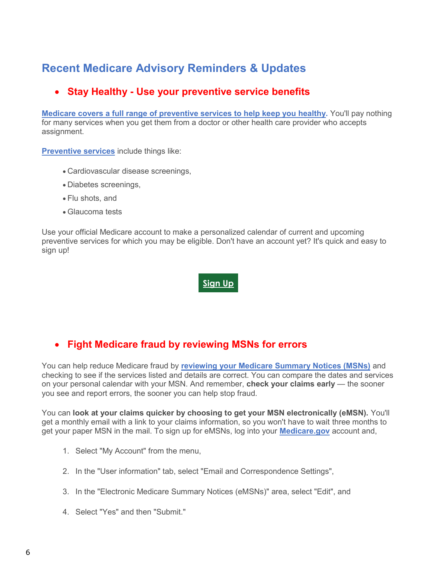## **Recent Medicare Advisory Reminders & Updates**

## **Stay Healthy - Use your preventive service benefits**

**[Medicare covers a full range of preventive services to help keep you healthy.](https://lnks.gd/l/eyJhbGciOiJIUzI1NiJ9.eyJidWxsZXRpbl9saW5rX2lkIjoxMDEsInVyaSI6ImJwMjpjbGljayIsImJ1bGxldGluX2lkIjoiMjAyMDAxMjkuMTYyNzcwNDEiLCJ1cmwiOiJodHRwczovL3d3dy5tZWRpY2FyZS5nb3YvY292ZXJhZ2UvcHJldmVudGl2ZS1zY3JlZW5pbmctc2VydmljZXM_dXRtX2NhbXBhaWduPTIwMjAwMTI5X2dtZF9wcnZfZ2FsJnV0bV9jb250ZW50PWVuZ2xpc2gmdXRtX21lZGl1bT1lbWFpbCZ1dG1fc291cmNlPWdvdmRlbGl2ZXJ5In0.1tIs0p5Lxb29LQHewC4_Umvua9HOkxkA9zpKYmeuGzY/br/74464924824-l)** You'll pay nothing for many services when you get them from a doctor or other health care provider who accepts assignment.

**[Preventive services](https://lnks.gd/l/eyJhbGciOiJIUzI1NiJ9.eyJidWxsZXRpbl9saW5rX2lkIjoxMDIsInVyaSI6ImJwMjpjbGljayIsImJ1bGxldGluX2lkIjoiMjAyMDAxMjkuMTYyNzcwNDEiLCJ1cmwiOiJodHRwczovL3d3dy5tZWRpY2FyZS5nb3YvY292ZXJhZ2UvcHJldmVudGl2ZS1zY3JlZW5pbmctc2VydmljZXM_dXRtX2NhbXBhaWduPTIwMjAwMTI5X2dtZF9wcnZfZ2FsJnV0bV9jb250ZW50PWVuZ2xpc2gmdXRtX21lZGl1bT1lbWFpbCZ1dG1fc291cmNlPWdvdmRlbGl2ZXJ5In0.zMMOMGfb3ShQWo_4SHiqMq9GW2hUq0RTdGeqlGVji0o/br/74464924824-l)** include things like:

- Cardiovascular disease screenings,
- Diabetes screenings,
- Flu shots, and
- Glaucoma tests

Use your official Medicare account to make a personalized calendar of current and upcoming preventive services for which you may be eligible. Don't have an account yet? It's quick and easy to sign up!

**[Sign](https://lnks.gd/l/eyJhbGciOiJIUzI1NiJ9.eyJidWxsZXRpbl9saW5rX2lkIjoxMDMsInVyaSI6ImJwMjpjbGljayIsImJ1bGxldGluX2lkIjoiMjAyMDAxMjkuMTYyNzcwNDEiLCJ1cmwiOiJodHRwOi8vbXltZWRpY2FyZS5nb3YjdXRtX2NhbXBhaWduPTIwMjAwMTI5X2dtZF9wcnZfZ2FsJnV0bV9jb250ZW50PWVuZ2xpc2gmdXRtX21lZGl1bT1lbWFpbCZ1dG1fc291cmNlPWdvdmRlbGl2ZXJ5In0.Zoc9a_BwfSFXH4UBTrPHO82U5t-buy9yUlK3IsCrtjo/br/74464924824-l) Up**

## **Fight Medicare fraud by reviewing MSNs for errors**

You can help reduce Medicare fraud by **reviewing [your Medicare Summary Notices \(MSNs\)](https://lnks.gd/l/eyJhbGciOiJIUzI1NiJ9.eyJidWxsZXRpbl9saW5rX2lkIjoxMDEsInVyaSI6ImJwMjpjbGljayIsImJ1bGxldGluX2lkIjoiMjAyMDAxMjIuMTU5MTExMzEiLCJ1cmwiOiJodHRwczovL3d3dy5tZWRpY2FyZS5nb3YvZm9ybXMtaGVscC1yZXNvdXJjZXMvaGVscC1maWdodC1tZWRpY2FyZS1mcmF1ZC9ob3ctc3BvdC1tZWRpY2FyZS1mcmF1ZD91dG1fY2FtcGFpZ249MjAyMDAxMjJfZ21kX2ZyZF9tbWRfYmVkcF92MSZ1dG1fY29udGVudD1lbmdsaXNoJnV0bV9tZWRpdW09ZW1haWwmdXRtX3NvdXJjZT1nb3ZkZWxpdmVyeSJ9.YXrzMOiHvv7CpUjOU34HsBgR5LY4NyjE6mbUutBi9L8/br/74209299652-l)** and checking to see if the services listed and details are correct. You can compare the dates and services on your personal calendar with your MSN. And remember, **check your claims early** — the sooner you see and report errors, the sooner you can help stop fraud.

You can **look at your claims quicker by choosing to get your MSN electronically (eMSN).** You'll get a monthly email with a link to your claims information, so you won't have to wait three months to get your paper MSN in the mail. To sign up for eMSNs, log into your **[Medicare.gov](https://lnks.gd/l/eyJhbGciOiJIUzI1NiJ9.eyJidWxsZXRpbl9saW5rX2lkIjoxMDIsInVyaSI6ImJwMjpjbGljayIsImJ1bGxldGluX2lkIjoiMjAyMDAxMjIuMTU5MTExMzEiLCJ1cmwiOiJodHRwczovL3d3dy5tZWRpY2FyZS5nb3YvZm9ybXMtaGVscC1yZXNvdXJjZXMvaGVscC1maWdodC1tZWRpY2FyZS1mcmF1ZC9ob3ctc3BvdC1tZWRpY2FyZS1mcmF1ZD91dG1fY2FtcGFpZ249MjAyMDAxMjJfZ21kX2ZyZF9tbWRfYmVkcF92MSZ1dG1fY29udGVudD1lbmdsaXNoJnV0bV9tZWRpdW09ZW1haWwmdXRtX3NvdXJjZT1nb3ZkZWxpdmVyeSJ9.F_ibP9Updd29hDhRiJ3M8E3eyTbTQgC009-4_T36tJw/br/74209299652-l)** account and,

- 1. Select "My Account" from the menu,
- 2. In the "User information" tab, select "Email and Correspondence Settings",
- 3. In the "Electronic Medicare Summary Notices (eMSNs)" area, select "Edit", and
- 4. Select "Yes" and then "Submit."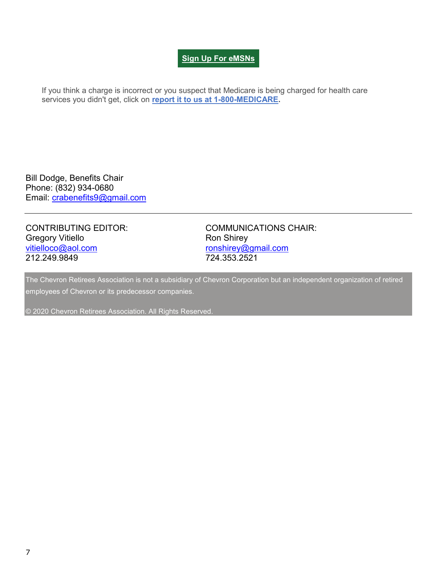### **Sign Up For [eMSNs](https://lnks.gd/l/eyJhbGciOiJIUzI1NiJ9.eyJidWxsZXRpbl9saW5rX2lkIjoxMDMsInVyaSI6ImJwMjpjbGljayIsImJ1bGxldGluX2lkIjoiMjAyMDAxMjIuMTU5MTExMzEiLCJ1cmwiOiJodHRwczovL3d3dy5teW1lZGljYXJlLmdvdi8jdXRtX2NhbXBhaWduPTIwMjAwMTIyX2dtZF9mcmRfbW1kX2JlZHBfdjEmdXRtX2NvbnRlbnQ9ZW5nbGlzaCZ1dG1fbWVkaXVtPWVtYWlsJnV0bV9zb3VyY2U9Z292ZGVsaXZlcnkifQ.MzWaBIsnGB0cDP3JgpymET8w0oHjm9XK0lyhddb1SoI/br/74209299652-l)**

If you think a charge is incorrect or you suspect that Medicare is being charged for health care services you didn't get, click on **[report it to us at 1-800-MEDICARE.](https://lnks.gd/l/eyJhbGciOiJIUzI1NiJ9.eyJidWxsZXRpbl9saW5rX2lkIjoxMDQsInVyaSI6ImJwMjpjbGljayIsImJ1bGxldGluX2lkIjoiMjAyMDAxMjIuMTU5MTExMzEiLCJ1cmwiOiJodHRwczovL3d3dy5tZWRpY2FyZS5nb3YvZm9ybXMtaGVscC1yZXNvdXJjZXMvaGVscC1maWdodC1tZWRpY2FyZS1mcmF1ZC9ob3ctc3BvdC1tZWRpY2FyZS1mcmF1ZD91dG1fY2FtcGFpZ249MjAyMDAxMjJfZ21kX2ZyZF9tbWRfYmVkcF92MSZ1dG1fY29udGVudD1lbmdsaXNoJnV0bV9tZWRpdW09ZW1haWwmdXRtX3NvdXJjZT1nb3ZkZWxpdmVyeSJ9.PIEnDyZYnPk72nAwtr2eUKymjKEI5uhZlpWbgoURT08/br/74209299652-l)**

Bill Dodge, Benefits Chair Phone: (832) 934-0680 Email: [crabenefits9@gmail.com](mailto:crabenefits9@gmail.com)

Gregory Vitiello **Ron Shirey** Ron Shirey [vitielloco@aol.com](mailto:vitielloco@aol.com) [ronshirey@gmail.com](mailto:ronshirey@gmail.com) 212.249.9849 724.353.2521

CONTRIBUTING EDITOR: COMMUNICATIONS CHAIR:

The Chevron Retirees Association is not a subsidiary of Chevron Corporation but an independent organization of retired employees of Chevron or its predecessor companies.

© 2020 Chevron Retirees Association. All Rights Reserved.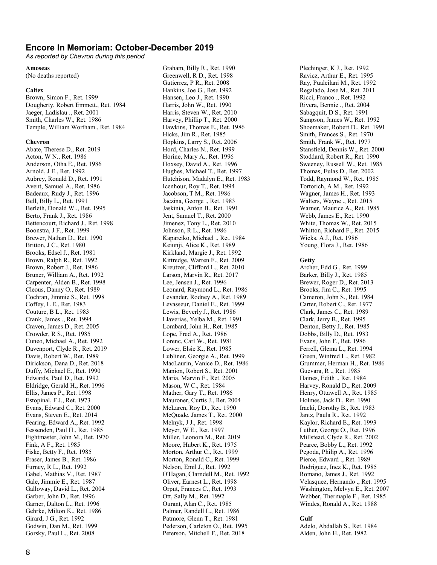#### **Encore In Memoriam: October-December 2019**

*As reported by Chevron during this period*

#### **Amoseas**

(No deaths reported)

#### **Caltex**

Brown, Simon F., Ret. 1999 Dougherty, Robert Emmett., Ret. 1984 Jaeger, Ladislau ., Ret. 2001 Smith, Charles W., Ret. 1986 Temple, William Wortham., Ret. 1984

#### **Chevron**

Abate, Therese D., Ret. 2019 Acton, W N., Ret. 1986 Anderson, Otha E., Ret. 1986 Arnold, J E., Ret. 1992 Aubrey, Ronald D., Ret. 1991 Avent, Samuel A., Ret. 1986 Badeaux, Rudy J., Ret. 1996 Bell, Billy L., Ret. 1991 Berleth, Donald W.., Ret. 1995 Berto, Frank J., Ret. 1986 Bettencourt, Richard J., Ret. 1998 Boonstra, J F., Ret. 1999 Brewer, Nathan D., Ret. 1990 Britton, J C., Ret. 1980 Brooks, Edsel J., Ret. 1981 Brown, Ralph R., Ret. 1992 Brown, Robert J., Ret. 1986 Bruner, William A., Ret. 1992 Carpenter, Alden B., Ret. 1998 Cleous, Danny O., Ret. 1989 Cochran, Jimmie S., Ret. 1998 Coffey, L E., Ret. 1983 Couture, B L., Ret. 1983 Crank, James ., Ret. 1994 Craven, James D., Ret. 2005 Crowder, R S., Ret. 1985 Cuneo, Michael A., Ret. 1992 Davenport, Clyde R., Ret. 2019 Davis, Robert W., Ret. 1989 Dirickson, Dana D., Ret. 2018 Duffy, Michael E., Ret. 1990 Edwards, Paul D., Ret. 1992 Eldridge, Gerald H., Ret. 1996 Ellis, James P., Ret. 1998 Estopinal, F J., Ret. 1973 Evans, Edward C., Ret. 2000 Evans, Steven E., Ret. 2014 Fearing, Edward A., Ret. 1992 Fessenden, Paul H., Ret. 1985 Fightmaster, John M., Ret. 1970 Fink, A F., Ret. 1985 Fiske, Betty F., Ret. 1985 Fraser, James B., Ret. 1986 Furney, R L., Ret. 1992 Gabel, Mathias V., Ret. 1987 Gale, Jimmie E., Ret. 1987 Galloway, David L., Ret. 2004 Garber, John D., Ret. 1996 Garner, Dalton L., Ret. 1996 Gehrke, Milton K., Ret. 1986 Girard, J G., Ret. 1992 Godwin, Dan M., Ret. 1999 Gorsky, Paul L., Ret. 2008

Graham, Billy R., Ret. 1990 Greenwell, R D., Ret. 1998 Gutierrez, P R., Ret. 2008 Hankins, Joe G., Ret. 1992 Hansen, Leo J., Ret. 1990 Harris, John W., Ret. 1990 Harris, Steven W., Ret. 2010 Harvey, Phillip T., Ret. 2000 Hawkins, Thomas E., Ret. 1986 Hicks, Jim R., Ret. 1985 Hopkins, Larry S., Ret. 2006 Hord, Charles N., Ret. 1999 Horine, Mary A., Ret. 1996 Hoxsey, David A., Ret. 1996 Hughes, Michael T., Ret. 1997 Hutchison, Madalyn E., Ret. 1983 Icenhour, Roy T., Ret. 1994 Jacobson, T M., Ret. 1986 Jaczina, George ., Ret. 1983 Jaskinia, Anton B., Ret. 1991 Jent, Samuel T., Ret. 2000 Jimenez, Tony L., Ret. 2010 Johnson, R L., Ret. 1986 Kapareiko, Michael ., Ret. 1984 Keiunji, Alice K., Ret. 1989 Kirkland, Margie J., Ret. 1992 Kittredge, Warren F., Ret. 2009 Kreutzer, Clifford L., Ret. 2010 Larson, Marvin R., Ret. 2017 Lee, Jensen J., Ret. 1996 Leonard, Raymond L., Ret. 1986 Levander, Rodney A., Ret. 1989 Levasseur, Daniel E., Ret. 1999 Lewis, Beverly J., Ret. 1986 Llaverias, Yelba M., Ret. 1991 Lombard, John H., Ret. 1985 Lope, Fred A., Ret. 1986 Lorenc, Carl W., Ret. 1981 Lower, Elsie K., Ret. 1985 Lubliner, Georgie A., Ret. 1999 MacLaurin, Vanice D., Ret. 1986 Manion, Robert S., Ret. 2001 Maria, Marvin F., Ret. 2005 Mason, W C., Ret. 1984 Mather, Gary T., Ret. 1986 Mauroner, Curtis J., Ret. 2004 McLaren, Roy D., Ret. 1990 McQuade, James T., Ret. 2000 Melnyk, J J., Ret. 1998 Meyer, W E., Ret. 1997 Miller, Leonora M., Ret. 2019 Moore, Hubert K., Ret. 1975 Morton, Arthur C., Ret. 1999 Morton, Ronald C., Ret. 1999 Nelson, Emil J., Ret. 1992 O'Hagan, Clarndell M., Ret. 1992 Oliver, Earnest L., Ret. 1998 Orput, Frances C., Ret. 1993 Ott, Sally M., Ret. 1992 Ourant, Alan C., Ret. 1985 Palmer, Randell L., Ret. 1986 Patmore, Glenn T., Ret. 1981 Pederson, Carleton O., Ret. 1995 Peterson, Mitchell F., Ret. 2018

Plechinger, K J., Ret. 1992 Ravicz, Arthur E., Ret. 1995 Ray, Pualeilani M., Ret. 1992 Regalado, Jose M., Ret. 2011 Ricci, Franco ., Ret. 1992 Rivera, Bennie ., Ret. 2004 Sabagquit, D S., Ret. 1991 Sampson, James W., Ret. 1992 Shoemaker, Robert D., Ret. 1991 Smith, Frances S., Ret. 1970 Smith, Frank W., Ret. 1977 Stansfield, Dennis W., Ret. 2000 Stoddard, Robert R., Ret. 1990 Sweeney, Russell W., Ret. 1985 Thomas, Eulas D., Ret. 2002 Todd, Raymond W., Ret. 1985 Tortorich, A M., Ret. 1992 Wagner, James H., Ret. 1993 Walters, Wayne ., Ret. 2015 Warner, Maurice A., Ret. 1985 Webb, James E., Ret. 1990 White, Thomas W., Ret. 2015 Whitton, Richard F., Ret. 2015 Wicks, A J., Ret. 1986 Young, Flora J., Ret. 1986

#### **Getty**

Archer, Edd G., Ret. 1999 Barker, Billy J., Ret. 1985 Brewer, Roger D., Ret. 2013 Brooks, Jim C., Ret. 1995 Cameron, John S., Ret. 1984 Carter, Robert C., Ret. 1977 Clark, James C., Ret. 1989 Clark, Jerry B., Ret. 1995 Denton, Betty J., Ret. 1985 Dobbs, Billy D., Ret. 1983 Evans, John F., Ret. 1986 Ferrell, Glema L., Ret. 1994 Green, Winfred L., Ret. 1982 Grummer, Herman H., Ret. 1986 Guevara, R ., Ret. 1985 Haines, Edith ., Ret. 1984 Harvey, Ronald D., Ret. 2009 Henry, Ottawell A., Ret. 1985 Holmes, Jack D., Ret. 1990 Iracki, Dorothy B., Ret. 1983 Jantz, Paula R., Ret. 1992 Kaylor, Richard E., Ret. 1993 Luther, George O., Ret. 1996 Millstead, Clyde R., Ret. 2002 Pearce, Bobby L., Ret. 1992 Pegoda, Philip A., Ret. 1996 Pierce, Edward ., Ret. 1989 Rodriguez, Inez K., Ret. 1985 Romano, James J., Ret. 1992 Velasquez, Hernando ., Ret. 1995 Washington, Melvyn E., Ret. 2007 Webber, Thermaple F., Ret. 1985 Windes, Ronald A., Ret. 1988

#### **Gulf**

Adelo, Abdallah S., Ret. 1984 Alden, John H., Ret. 1982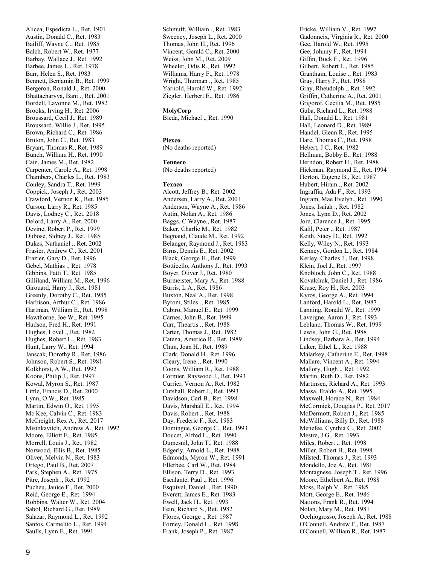Alicea, Espedicta L., Ret. 1901 Austin, Donald C., Ret. 1983 Bailiff, Wayne C., Ret. 1985 Balch, Robert W., Ret. 1977 Barbay, Wallace J., Ret. 1992 Barbee, James L., Ret. 1978 Barr, Helen S., Ret. 1983 Bennett, Benjamin B., Ret. 1999 Bergeron, Ronald J., Ret. 2000 Bhattacharyya, Bani ., Ret. 2001 Bordell, Lavonne M., Ret. 1982 Brooks, Irving H., Ret. 2006 Broussard, Cecil J., Ret. 1989 Broussard, Willie J., Ret. 1995 Brown, Richard C., Ret. 1986 Bruton, John C., Ret. 1983 Bryant, Thomas R., Ret. 1989 Bunch, William H., Ret. 1990 Cain, James M., Ret. 1982 Carpenter, Carole A., Ret. 1998 Chambers, Charles L., Ret. 1983 Conley, Sandra T., Ret. 1999 Coppick, Joseph J., Ret. 2003 Crawford, Vernon K., Ret. 1985 Curson, Larry R., Ret. 1985 Davis, Lodney C., Ret. 2018 Delord, Larry A., Ret. 2000 Devine, Robert P., Ret. 1999 Dubose, Sidney J., Ret. 1985 Dukes, Nathaniel ., Ret. 2002 Frasier, Andrew C., Ret. 2001 Frazier, Gary D., Ret. 1996 Gebel, Mathias ., Ret. 1978 Gibbins, Patti T., Ret. 1985 Gilliland, William M., Ret. 1996 Girouard, Harry J., Ret. 1981 Greenly, Dorothy C., Ret. 1985 Harbison, Arthur C., Ret. 1986 Hartman, William E., Ret. 1998 Hawthorne, Joe W., Ret. 1995 Hudson, Fred H., Ret. 1991 Hughes, Lovel ., Ret. 1982 Hughes, Robert L., Ret. 1983 Hunt, Larry W., Ret. 1994 Janscak, Dorothy R., Ret. 1986 Johnson, Robert S., Ret. 1981 Kolkhorst, A W., Ret. 1992 Koons, Philip J., Ret. 1997 Kowal, Myron S., Ret. 1987 Little, Francis D., Ret. 2000 Lynn, O W., Ret. 1985 Martin, Edwin O., Ret. 1995 Mc Kee, Calvin C., Ret. 1983 McCreight, Rex A., Ret. 2017 Misinkavitch, Andrew A., Ret. 1992 Moore, Elliott E., Ret. 1985 Morrell, Louis J., Ret. 1982 Norwood, Ellis B., Ret. 1985 Oliver, Melvin N., Ret. 1983 Ortego, Paul B., Ret. 2007 Park, Stephen A., Ret. 1975 Pitre, Joseph ., Ret. 1992 Pucheu, Janice F., Ret. 2000 Reid, George E., Ret. 1994 Robbins, Walter W., Ret. 2004 Sabol, Richard G., Ret. 1989 Salazar, Raymond L., Ret. 1992 Santos, Carmelito L., Ret. 1994 Saulls, Lynn E., Ret. 1991

Schmuff, William ., Ret. 1983 Sweeney, Joseph L., Ret. 2000 Thomas, John H., Ret. 1996 Vincent, Gerald C., Ret. 2000 Weiss, John M., Ret. 2009 Wheeler, Odis R., Ret. 1992 Williams, Harry F., Ret. 1978 Wright, Thurman ., Ret. 1985 Yarnold, Harold W., Ret. 1992 Ziegler, Herbert E., Ret. 1986

#### **MolyCorp**

Bieda, Michael ., Ret. 1990

#### **Plexco**

(No deaths reported)

#### **Tenneco**

(No deaths reported)

#### **Texaco**

Alcott, Jeffrey B., Ret. 2002 Andersen, Larry A., Ret. 2001 Anderson, Wayne A., Ret. 1986 Autin, Nolan A., Ret. 1986 Baggs, C Wayne., Ret. 1987 Baker, Charlie M., Ret. 1982 Begnaud, Claude M., Ret. 1992 Belanger, Raymond J., Ret. 1983 Birns, Dennis E., Ret. 2002 Black, George H., Ret. 1999 Botticello, Anthony J., Ret. 1993 Boyer, Oliver J., Ret. 1980 Burmeister, Mary A., Ret. 1988 Burris, L A., Ret. 1986 Buxton, Neal A., Ret. 1998 Byrom, Stiles ., Ret. 1985 Cabiro, Manuel E., Ret. 1999 Carnes, John B., Ret. 1999 Carr, Theartis ., Ret. 1988 Carter, Thomas J., Ret. 1982 Catena, Americo R., Ret. 1989 Chun, Joan H., Ret. 1989 Clark, Donald H., Ret. 1996 Cleary, Irene ., Ret. 1990 Coons, William R., Ret. 1988 Cormier, Raywood J., Ret. 1993 Currier, Vernon A., Ret. 1982 Cutshall, Robert J., Ret. 1993 Davidson, Carl B., Ret. 1998 Davis, Marshall E., Ret. 1994 Davis, Robert ., Ret. 1988 Day, Frederic F., Ret. 1983 Domingue, George C., Ret. 1993 Doucet, Alfred L., Ret. 1990 Dumesnil, John T., Ret. 1988 Edgerly, Arnold L., Ret. 1988 Edmonds, Myron W., Ret. 1991 Ellerbee, Carl W., Ret. 1984 Ellison, Terry D., Ret. 1993 Escalante, Paul ., Ret. 1996 Esquivel, Daniel ., Ret. 1990 Everett, James E., Ret. 1983 Ewell, Jack H., Ret. 1993 Fein, Richard S., Ret. 1982 Flores, George ., Ret. 1987 Forney, Donald L., Ret. 1998 Frank, Joseph P., Ret. 1987

Fricke, William V., Ret. 1997 Gadonneix, Virginia R., Ret. 2000 Gee, Harold W., Ret. 1995 Gee, Johnny F., Ret. 1994 Giffin, Buck F., Ret. 1996 Gilbert, Robert L., Ret. 1985 Grantham, Louise ., Ret. 1983 Gray, Harry F., Ret. 1988 Gray, Rheudolph ., Ret. 1992 Griffin, Catherine A., Ret. 2001 Grigorof, Cecilia M., Ret. 1985 Guba, Richard L., Ret. 1988 Hall, Donald L., Ret. 1981 Hall, Leonard D., Ret. 1989 Handel, Glenn R., Ret. 1995 Hare, Thomas C., Ret. 1988 Hebert, J C., Ret. 1982 Hellman, Bobby E., Ret. 1988 Herndon, Robert H., Ret. 1988 Hickman, Raymond E., Ret. 1994 Horton, Eugene B., Ret. 1987 Hubert, Hiram ., Ret. 2002 Ingraffia, Ada F., Ret. 1993 Ingram, Mae Evelyn., Ret. 1990 Jones, Isaiah ., Ret. 1982 Jones, Lynn D., Ret. 2002 Jore, Clarence J., Ret. 1995 Kalil, Peter ., Ret. 1987 Keith, Stacy D., Ret. 1992 Kelly, Wiley N., Ret. 1993 Kenney, Gordon L., Ret. 1984 Kerley, Charles J., Ret. 1998 Klein, Joel J., Ret. 1997 Knobloch, John C., Ret. 1988 Kovalchuk, Daniel J., Ret. 1986 Kruse, Roy H., Ret. 2003 Kyros, George A., Ret. 1994 Lanford, Harold L., Ret. 1987 Lanning, Ronald W., Ret. 1999 Lavergne, Aaron J., Ret. 1993 Leblanc, Thomas W., Ret. 1999 Lewis, John G., Ret. 1988 Lindsey, Barbara A., Ret. 1994 Luker, Ethel L., Ret. 1988 Malarkey, Catherine E., Ret. 1998 Mallare, Vincent A., Ret. 1994 Mallory, Hugh ., Ret. 1992 Martin, Ruth D., Ret. 1982 Martinsen, Richard A., Ret. 1993 Massa, Eraldo A., Ret. 1995 Maxwell, Horace N., Ret. 1984 McCormick, Douglas P., Ret. 2017 McDermott, Robert J., Ret. 1985 McWilliams, Billy D., Ret. 1988 Menefee, Cynthia C., Ret. 2002 Mestre, J G., Ret. 1993 Miles, Robert ., Ret. 1998 Miller, Robert H., Ret. 1998 Milsted, Thomas J., Ret. 1993 Mondello, Joe A., Ret. 1981 Montagnese, Joseph T., Ret. 1996 Moore, Ethelbert A., Ret. 1988 Moss, Ralph V., Ret. 1985 Mott, George E., Ret. 1986 Nations, Frank R., Ret. 1994 Nolan, Mary M., Ret. 1981 Occhiogrosso, Joseph A., Ret. 1988 O'Connell, Andrew F., Ret. 1987 O'Connell, William R., Ret. 1987